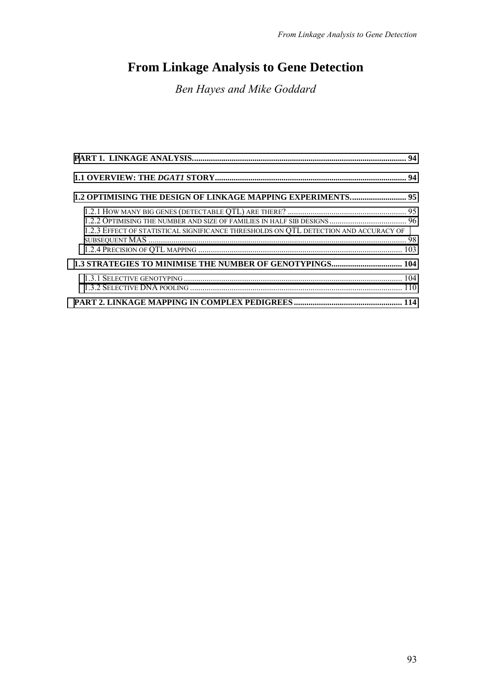# **From Linkage Analysis to Gene Detection**

*Ben Hayes and Mike Goddard* 

| 1.2.3 EFFECT OF STATISTICAL SIGNIFICANCE THRESHOLDS ON QTL DETECTION AND ACCURACY OF |  |
|--------------------------------------------------------------------------------------|--|
|                                                                                      |  |
|                                                                                      |  |
|                                                                                      |  |
|                                                                                      |  |
|                                                                                      |  |
|                                                                                      |  |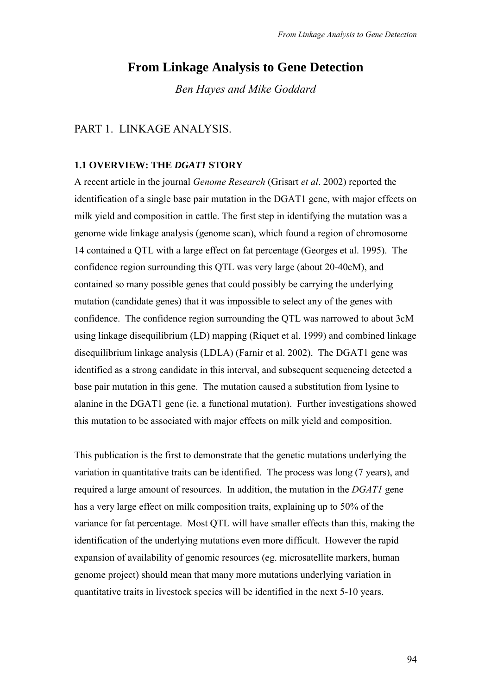# <span id="page-1-0"></span>**From Linkage Analysis to Gene Detection**

*Ben Hayes and Mike Goddard* 

### PART 1. LINKAGE ANALYSIS.

#### **1.1 OVERVIEW: THE** *DGAT1* **STORY**

A recent article in the journal *Genome Research* (Grisart *et al*. 2002) reported the identification of a single base pair mutation in the DGAT1 gene, with major effects on milk yield and composition in cattle. The first step in identifying the mutation was a genome wide linkage analysis (genome scan), which found a region of chromosome 14 contained a QTL with a large effect on fat percentage (Georges et al. 1995). The confidence region surrounding this QTL was very large (about 20-40cM), and contained so many possible genes that could possibly be carrying the underlying mutation (candidate genes) that it was impossible to select any of the genes with confidence. The confidence region surrounding the QTL was narrowed to about 3cM using linkage disequilibrium (LD) mapping (Riquet et al. 1999) and combined linkage disequilibrium linkage analysis (LDLA) (Farnir et al. 2002). The DGAT1 gene was identified as a strong candidate in this interval, and subsequent sequencing detected a base pair mutation in this gene. The mutation caused a substitution from lysine to alanine in the DGAT1 gene (ie. a functional mutation). Further investigations showed this mutation to be associated with major effects on milk yield and composition.

This publication is the first to demonstrate that the genetic mutations underlying the variation in quantitative traits can be identified. The process was long (7 years), and required a large amount of resources. In addition, the mutation in the *DGAT1* gene has a very large effect on milk composition traits, explaining up to 50% of the variance for fat percentage. Most QTL will have smaller effects than this, making the identification of the underlying mutations even more difficult. However the rapid expansion of availability of genomic resources (eg. microsatellite markers, human genome project) should mean that many more mutations underlying variation in quantitative traits in livestock species will be identified in the next 5-10 years.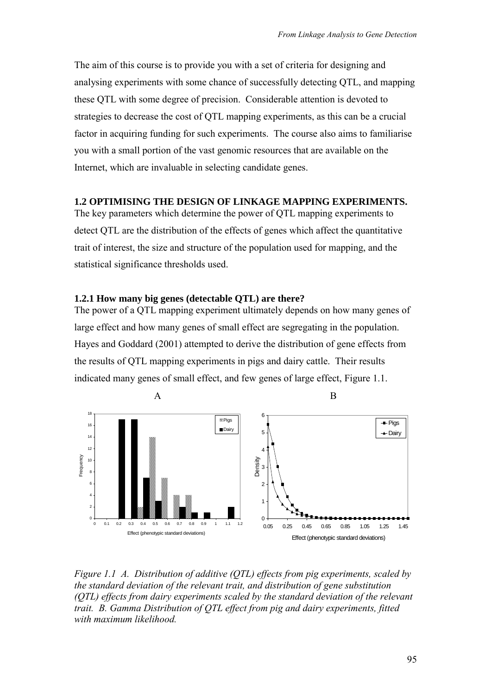<span id="page-2-0"></span>The aim of this course is to provide you with a set of criteria for designing and analysing experiments with some chance of successfully detecting QTL, and mapping these QTL with some degree of precision. Considerable attention is devoted to strategies to decrease the cost of QTL mapping experiments, as this can be a crucial factor in acquiring funding for such experiments. The course also aims to familiarise you with a small portion of the vast genomic resources that are available on the Internet, which are invaluable in selecting candidate genes.

### **1.2 OPTIMISING THE DESIGN OF LINKAGE MAPPING EXPERIMENTS.**

The key parameters which determine the power of QTL mapping experiments to detect QTL are the distribution of the effects of genes which affect the quantitative trait of interest, the size and structure of the population used for mapping, and the statistical significance thresholds used.

### **1.2.1 How many big genes (detectable QTL) are there?**

The power of a QTL mapping experiment ultimately depends on how many genes of large effect and how many genes of small effect are segregating in the population. Hayes and Goddard (2001) attempted to derive the distribution of gene effects from the results of QTL mapping experiments in pigs and dairy cattle. Their results indicated many genes of small effect, and few genes of large effect, Figure 1.1.



*Figure 1.1 A. Distribution of additive (QTL) effects from pig experiments, scaled by the standard deviation of the relevant trait, and distribution of gene substitution (QTL) effects from dairy experiments scaled by the standard deviation of the relevant trait. B. Gamma Distribution of QTL effect from pig and dairy experiments, fitted with maximum likelihood.*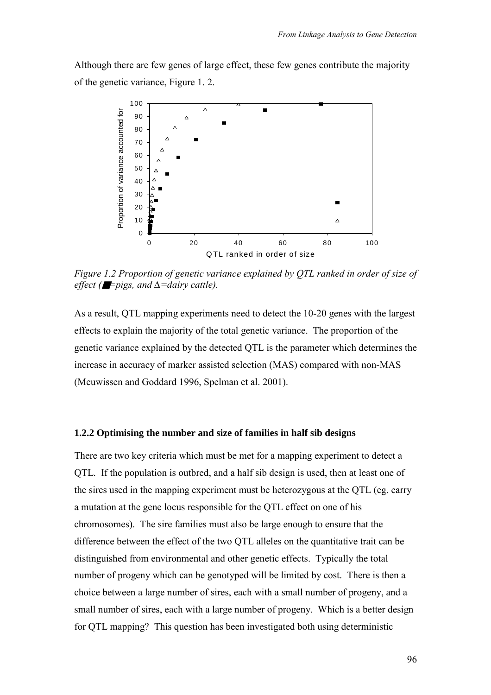<span id="page-3-0"></span>Although there are few genes of large effect, these few genes contribute the majority of the genetic variance, Figure 1. 2.



*Figure 1.2 Proportion of genetic variance explained by QTL ranked in order of size of effect (*■*=pigs, and ∆=dairy cattle).* 

As a result, QTL mapping experiments need to detect the 10-20 genes with the largest effects to explain the majority of the total genetic variance. The proportion of the genetic variance explained by the detected QTL is the parameter which determines the increase in accuracy of marker assisted selection (MAS) compared with non-MAS (Meuwissen and Goddard 1996, Spelman et al. 2001).

#### **1.2.2 Optimising the number and size of families in half sib designs**

There are two key criteria which must be met for a mapping experiment to detect a QTL. If the population is outbred, and a half sib design is used, then at least one of the sires used in the mapping experiment must be heterozygous at the QTL (eg. carry a mutation at the gene locus responsible for the QTL effect on one of his chromosomes). The sire families must also be large enough to ensure that the difference between the effect of the two QTL alleles on the quantitative trait can be distinguished from environmental and other genetic effects. Typically the total number of progeny which can be genotyped will be limited by cost. There is then a choice between a large number of sires, each with a small number of progeny, and a small number of sires, each with a large number of progeny. Which is a better design for QTL mapping? This question has been investigated both using deterministic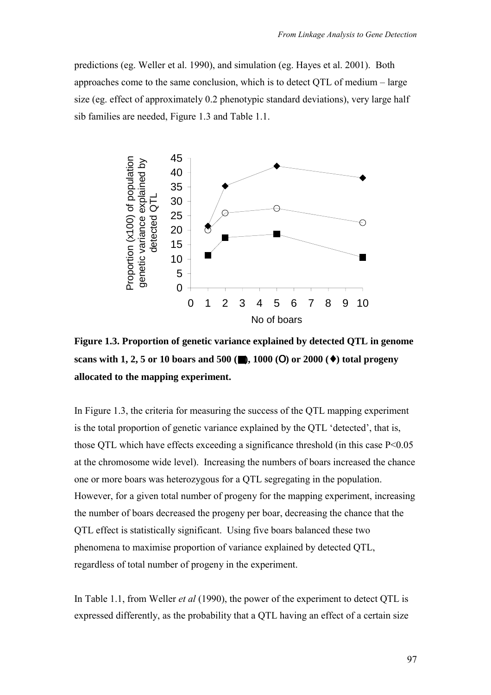predictions (eg. Weller et al. 1990), and simulation (eg. Hayes et al. 2001). Both approaches come to the same conclusion, which is to detect  $QTL$  of medium  $-$  large size (eg. effect of approximately 0.2 phenotypic standard deviations), very large half sib families are needed, Figure 1.3 and Table 1.1.



**Figure 1.3. Proportion of genetic variance explained by detected QTL in genome scans with 1, 2, 5 or 10 boars and 500 (**■**), 1000 (**Ο**) or 2000 (**♦**) total progeny allocated to the mapping experiment.** 

In Figure 1.3, the criteria for measuring the success of the QTL mapping experiment is the total proportion of genetic variance explained by the QTL 'detected', that is, those QTL which have effects exceeding a significance threshold (in this case P<0.05 at the chromosome wide level). Increasing the numbers of boars increased the chance one or more boars was heterozygous for a QTL segregating in the population. However, for a given total number of progeny for the mapping experiment, increasing the number of boars decreased the progeny per boar, decreasing the chance that the QTL effect is statistically significant. Using five boars balanced these two phenomena to maximise proportion of variance explained by detected QTL, regardless of total number of progeny in the experiment.

In Table 1.1, from Weller *et al* (1990), the power of the experiment to detect QTL is expressed differently, as the probability that a QTL having an effect of a certain size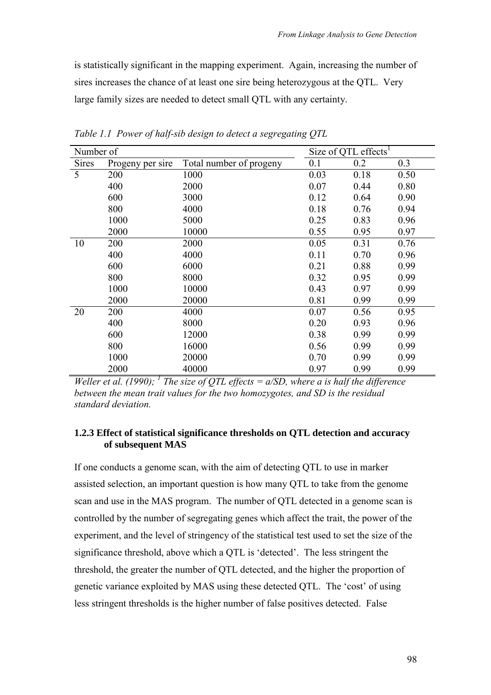<span id="page-5-0"></span>is statistically significant in the mapping experiment. Again, increasing the number of sires increases the chance of at least one sire being heterozygous at the QTL. Very large family sizes are needed to detect small QTL with any certainty.

| Number of    |                  |                         |      | Size of QTL effects <sup>1</sup> |      |
|--------------|------------------|-------------------------|------|----------------------------------|------|
| <b>Sires</b> | Progeny per sire | Total number of progeny | 0.1  | 0.2                              | 0.3  |
| 5            | 200              | 1000                    | 0.03 | 0.18                             | 0.50 |
|              | 400              | 2000                    | 0.07 | 0.44                             | 0.80 |
|              | 600              | 3000                    | 0.12 | 0.64                             | 0.90 |
|              | 800              | 4000                    | 0.18 | 0.76                             | 0.94 |
|              | 1000             | 5000                    | 0.25 | 0.83                             | 0.96 |
|              | 2000             | 10000                   | 0.55 | 0.95                             | 0.97 |
| 10           | 200              | 2000                    | 0.05 | 0.31                             | 0.76 |
|              | 400              | 4000                    | 0.11 | 0.70                             | 0.96 |
|              | 600              | 6000                    | 0.21 | 0.88                             | 0.99 |
|              | 800              | 8000                    | 0.32 | 0.95                             | 0.99 |
|              | 1000             | 10000                   | 0.43 | 0.97                             | 0.99 |
|              | 2000             | 20000                   | 0.81 | 0.99                             | 0.99 |
| 20           | 200              | 4000                    | 0.07 | 0.56                             | 0.95 |
|              | 400              | 8000                    | 0.20 | 0.93                             | 0.96 |
|              | 600              | 12000                   | 0.38 | 0.99                             | 0.99 |
|              | 800              | 16000                   | 0.56 | 0.99                             | 0.99 |
|              | 1000             | 20000                   | 0.70 | 0.99                             | 0.99 |
|              | 2000             | 40000                   | 0.97 | 0.99                             | 0.99 |

*Table 1.1 Power of half-sib design to detect a segregating QTL* 

*Weller et al.* (1990); <sup>1</sup> The size of QTL effects =  $a/SD$ , where a is half the difference *between the mean trait values for the two homozygotes, and SD is the residual standard deviation.* 

### **1.2.3 Effect of statistical significance thresholds on QTL detection and accuracy of subsequent MAS**

If one conducts a genome scan, with the aim of detecting QTL to use in marker assisted selection, an important question is how many QTL to take from the genome scan and use in the MAS program. The number of QTL detected in a genome scan is controlled by the number of segregating genes which affect the trait, the power of the experiment, and the level of stringency of the statistical test used to set the size of the significance threshold, above which a QTL is 'detected'. The less stringent the threshold, the greater the number of QTL detected, and the higher the proportion of genetic variance exploited by MAS using these detected QTL. The 'cost' of using less stringent thresholds is the higher number of false positives detected. False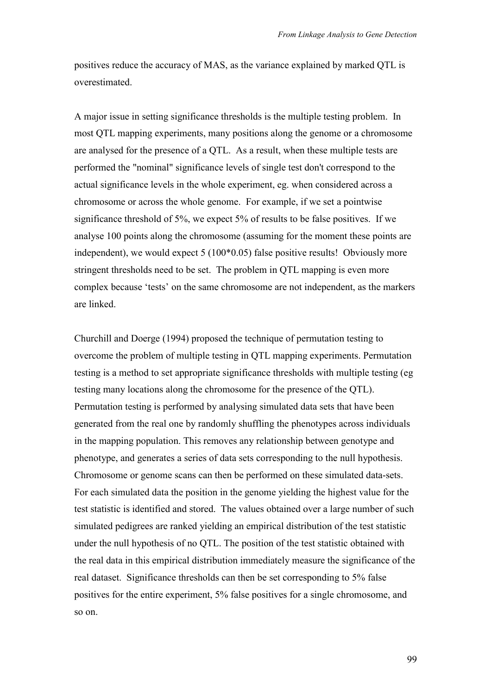positives reduce the accuracy of MAS, as the variance explained by marked QTL is overestimated.

A major issue in setting significance thresholds is the multiple testing problem. In most QTL mapping experiments, many positions along the genome or a chromosome are analysed for the presence of a QTL. As a result, when these multiple tests are performed the "nominal" significance levels of single test don't correspond to the actual significance levels in the whole experiment, eg. when considered across a chromosome or across the whole genome. For example, if we set a pointwise significance threshold of 5%, we expect 5% of results to be false positives. If we analyse 100 points along the chromosome (assuming for the moment these points are independent), we would expect 5 (100\*0.05) false positive results! Obviously more stringent thresholds need to be set. The problem in QTL mapping is even more complex because 'tests' on the same chromosome are not independent, as the markers are linked.

Churchill and Doerge (1994) proposed the technique of permutation testing to overcome the problem of multiple testing in QTL mapping experiments. Permutation testing is a method to set appropriate significance thresholds with multiple testing (eg testing many locations along the chromosome for the presence of the QTL). Permutation testing is performed by analysing simulated data sets that have been generated from the real one by randomly shuffling the phenotypes across individuals in the mapping population. This removes any relationship between genotype and phenotype, and generates a series of data sets corresponding to the null hypothesis. Chromosome or genome scans can then be performed on these simulated data-sets. For each simulated data the position in the genome yielding the highest value for the test statistic is identified and stored. The values obtained over a large number of such simulated pedigrees are ranked yielding an empirical distribution of the test statistic under the null hypothesis of no QTL. The position of the test statistic obtained with the real data in this empirical distribution immediately measure the significance of the real dataset. Significance thresholds can then be set corresponding to 5% false positives for the entire experiment, 5% false positives for a single chromosome, and so on.

99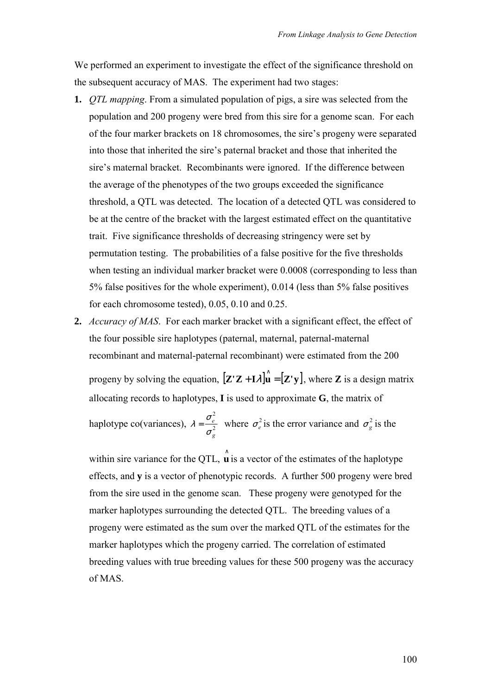We performed an experiment to investigate the effect of the significance threshold on the subsequent accuracy of MAS. The experiment had two stages:

- **1.** *QTL mapping*. From a simulated population of pigs, a sire was selected from the population and 200 progeny were bred from this sire for a genome scan. For each of the four marker brackets on 18 chromosomes, the sire's progeny were separated into those that inherited the sire's paternal bracket and those that inherited the sire's maternal bracket. Recombinants were ignored. If the difference between the average of the phenotypes of the two groups exceeded the significance threshold, a QTL was detected. The location of a detected QTL was considered to be at the centre of the bracket with the largest estimated effect on the quantitative trait. Five significance thresholds of decreasing stringency were set by permutation testing. The probabilities of a false positive for the five thresholds when testing an individual marker bracket were 0.0008 (corresponding to less than 5% false positives for the whole experiment), 0.014 (less than 5% false positives for each chromosome tested), 0.05, 0.10 and 0.25.
- **2.** *Accuracy of MAS*. For each marker bracket with a significant effect, the effect of the four possible sire haplotypes (paternal, maternal, paternal-maternal recombinant and maternal-paternal recombinant) were estimated from the 200 progeny by solving the equation,  $[\mathbf{Z'Z} + \mathbf{I}\lambda]\hat{\mathbf{u}} = [\mathbf{Z'y}]$ , where **Z** is a design matrix allocating records to haplotypes, **I** is used to approximate **G**, the matrix of haplotype co(variances),  $\lambda = \frac{\sigma_e}{r^2}$ 2 *g e* σ  $\lambda = \frac{\sigma_e}{2}$  where  $\sigma_e^2$  is the error variance and  $\sigma_g^2$  is the

within sire variance for the QTL,  $\hat{\mathbf{u}}$  is a vector of the estimates of the haplotype effects, and **y** is a vector of phenotypic records. A further 500 progeny were bred from the sire used in the genome scan. These progeny were genotyped for the marker haplotypes surrounding the detected QTL. The breeding values of a progeny were estimated as the sum over the marked QTL of the estimates for the marker haplotypes which the progeny carried. The correlation of estimated breeding values with true breeding values for these 500 progeny was the accuracy of MAS.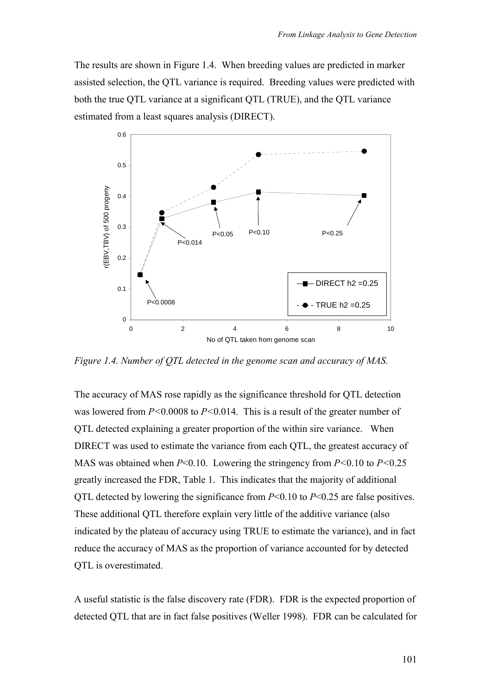The results are shown in Figure 1.4. When breeding values are predicted in marker assisted selection, the QTL variance is required. Breeding values were predicted with both the true QTL variance at a significant QTL (TRUE), and the QTL variance estimated from a least squares analysis (DIRECT).



*Figure 1.4. Number of QTL detected in the genome scan and accuracy of MAS.* 

The accuracy of MAS rose rapidly as the significance threshold for QTL detection was lowered from *P<*0.0008 to *P<*0.014. This is a result of the greater number of QTL detected explaining a greater proportion of the within sire variance. When DIRECT was used to estimate the variance from each QTL, the greatest accuracy of MAS was obtained when *P*<0.10. Lowering the stringency from *P<*0.10 to *P<*0.25 greatly increased the FDR, Table 1. This indicates that the majority of additional QTL detected by lowering the significance from *P*<0.10 to *P*<0.25 are false positives. These additional QTL therefore explain very little of the additive variance (also indicated by the plateau of accuracy using TRUE to estimate the variance), and in fact reduce the accuracy of MAS as the proportion of variance accounted for by detected QTL is overestimated.

A useful statistic is the false discovery rate (FDR). FDR is the expected proportion of detected QTL that are in fact false positives (Weller 1998). FDR can be calculated for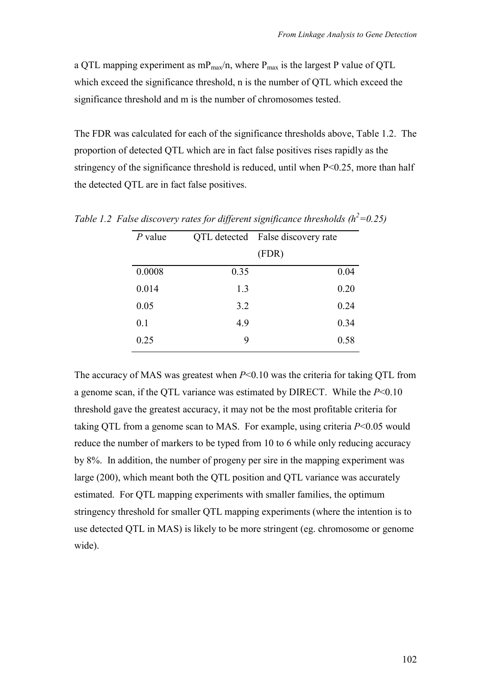a QTL mapping experiment as  $mp_{max}/n$ , where  $P_{max}$  is the largest P value of QTL which exceed the significance threshold, n is the number of QTL which exceed the significance threshold and m is the number of chromosomes tested.

The FDR was calculated for each of the significance thresholds above, Table 1.2. The proportion of detected QTL which are in fact false positives rises rapidly as the stringency of the significance threshold is reduced, until when P<0.25, more than half the detected QTL are in fact false positives.

| $P$ value |      | QTL detected False discovery rate |
|-----------|------|-----------------------------------|
|           |      | (FDR)                             |
| 0.0008    | 0.35 | 0.04                              |
| 0.014     | 1.3  | 0.20                              |
| 0.05      | 3.2  | 0.24                              |
| 0.1       | 4.9  | 0.34                              |
| 0.25      | 9    | 0.58                              |

*Table 1.2 False discovery rates for different significance thresholds*  $(h^2=0.25)$ 

The accuracy of MAS was greatest when *P*<0.10 was the criteria for taking QTL from a genome scan, if the QTL variance was estimated by DIRECT. While the *P*<0.10 threshold gave the greatest accuracy, it may not be the most profitable criteria for taking QTL from a genome scan to MAS. For example, using criteria *P*<0.05 would reduce the number of markers to be typed from 10 to 6 while only reducing accuracy by 8%. In addition, the number of progeny per sire in the mapping experiment was large (200), which meant both the QTL position and QTL variance was accurately estimated. For QTL mapping experiments with smaller families, the optimum stringency threshold for smaller QTL mapping experiments (where the intention is to use detected QTL in MAS) is likely to be more stringent (eg. chromosome or genome wide).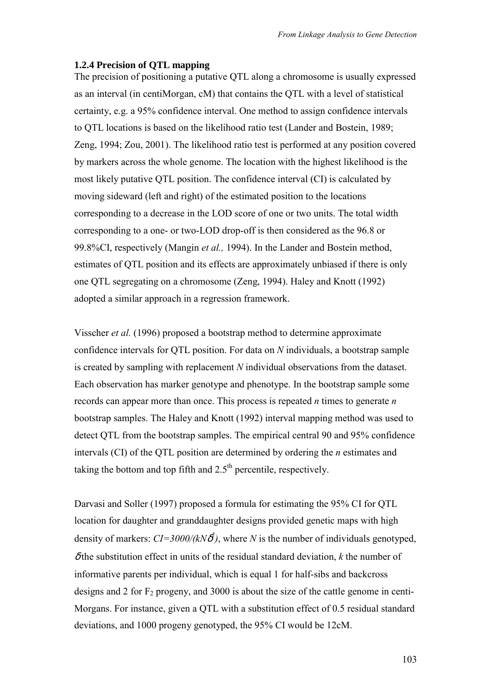#### <span id="page-10-0"></span>**1.2.4 Precision of QTL mapping**

The precision of positioning a putative QTL along a chromosome is usually expressed as an interval (in centiMorgan, cM) that contains the QTL with a level of statistical certainty, e.g. a 95% confidence interval. One method to assign confidence intervals to QTL locations is based on the likelihood ratio test (Lander and Bostein, 1989; Zeng, 1994; Zou, 2001). The likelihood ratio test is performed at any position covered by markers across the whole genome. The location with the highest likelihood is the most likely putative QTL position. The confidence interval (CI) is calculated by moving sideward (left and right) of the estimated position to the locations corresponding to a decrease in the LOD score of one or two units. The total width corresponding to a one- or two-LOD drop-off is then considered as the 96.8 or 99.8%CI, respectively (Mangin *et al.,* 1994). In the Lander and Bostein method, estimates of QTL position and its effects are approximately unbiased if there is only one QTL segregating on a chromosome (Zeng, 1994). Haley and Knott (1992) adopted a similar approach in a regression framework.

Visscher *et al.* (1996) proposed a bootstrap method to determine approximate confidence intervals for QTL position. For data on *N* individuals, a bootstrap sample is created by sampling with replacement *N* individual observations from the dataset. Each observation has marker genotype and phenotype. In the bootstrap sample some records can appear more than once. This process is repeated *n* times to generate *n* bootstrap samples. The Haley and Knott (1992) interval mapping method was used to detect QTL from the bootstrap samples. The empirical central 90 and 95% confidence intervals (CI) of the QTL position are determined by ordering the *n* estimates and taking the bottom and top fifth and  $2.5<sup>th</sup>$  percentile, respectively.

Darvasi and Soller (1997) proposed a formula for estimating the 95% CI for QTL location for daughter and granddaughter designs provided genetic maps with high density of markers:  $CI = 3000/(kN\delta^2)$ , where *N* is the number of individuals genotyped,  $\delta$  the substitution effect in units of the residual standard deviation,  $k$  the number of informative parents per individual, which is equal 1 for half-sibs and backcross designs and 2 for  $F_2$  progeny, and 3000 is about the size of the cattle genome in centi-Morgans. For instance, given a QTL with a substitution effect of 0.5 residual standard deviations, and 1000 progeny genotyped, the 95% CI would be 12cM.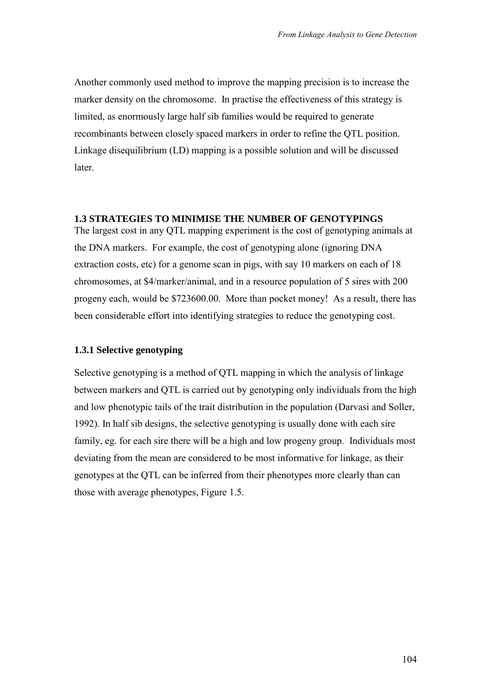<span id="page-11-0"></span>Another commonly used method to improve the mapping precision is to increase the marker density on the chromosome. In practise the effectiveness of this strategy is limited, as enormously large half sib families would be required to generate recombinants between closely spaced markers in order to refine the QTL position. Linkage disequilibrium (LD) mapping is a possible solution and will be discussed later.

### **1.3 STRATEGIES TO MINIMISE THE NUMBER OF GENOTYPINGS**

The largest cost in any QTL mapping experiment is the cost of genotyping animals at the DNA markers. For example, the cost of genotyping alone (ignoring DNA extraction costs, etc) for a genome scan in pigs, with say 10 markers on each of 18 chromosomes, at \$4/marker/animal, and in a resource population of 5 sires with 200 progeny each, would be \$723600.00. More than pocket money! As a result, there has been considerable effort into identifying strategies to reduce the genotyping cost.

### **1.3.1 Selective genotyping**

Selective genotyping is a method of QTL mapping in which the analysis of linkage between markers and QTL is carried out by genotyping only individuals from the high and low phenotypic tails of the trait distribution in the population (Darvasi and Soller, 1992). In half sib designs, the selective genotyping is usually done with each sire family, eg. for each sire there will be a high and low progeny group. Individuals most deviating from the mean are considered to be most informative for linkage, as their genotypes at the QTL can be inferred from their phenotypes more clearly than can those with average phenotypes, Figure 1.5.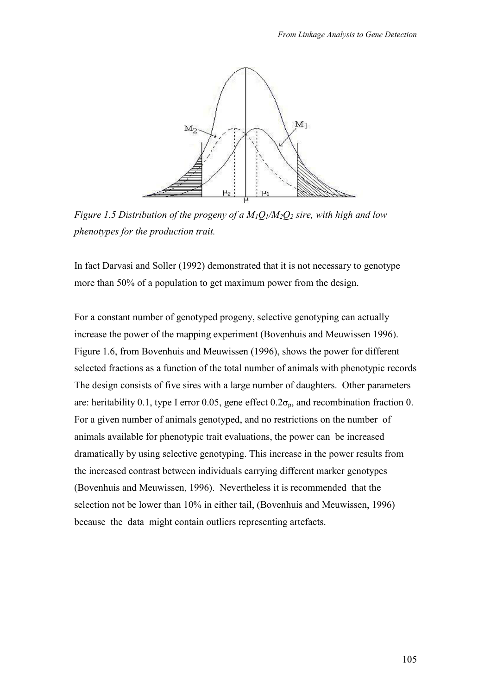

*Figure 1.5 Distribution of the progeny of a*  $M_1O_1/M_2O_2$  *sire, with high and low phenotypes for the production trait.* 

In fact Darvasi and Soller (1992) demonstrated that it is not necessary to genotype more than 50% of a population to get maximum power from the design.

For a constant number of genotyped progeny, selective genotyping can actually increase the power of the mapping experiment (Bovenhuis and Meuwissen 1996). Figure 1.6, from Bovenhuis and Meuwissen (1996), shows the power for different selected fractions as a function of the total number of animals with phenotypic records The design consists of five sires with a large number of daughters. Other parameters are: heritability 0.1, type I error 0.05, gene effect  $0.2\sigma_p$ , and recombination fraction 0. For a given number of animals genotyped, and no restrictions on the number of animals available for phenotypic trait evaluations, the power can be increased dramatically by using selective genotyping. This increase in the power results from the increased contrast between individuals carrying different marker genotypes (Bovenhuis and Meuwissen, 1996). Nevertheless it is recommended that the selection not be lower than 10% in either tail, (Bovenhuis and Meuwissen, 1996) because the data might contain outliers representing artefacts.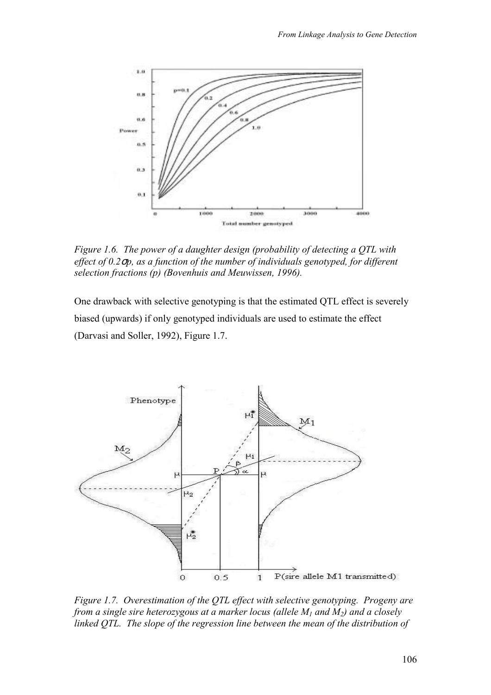

*Figure 1.6. The power of a daughter design (probability of detecting a QTL with effect of 0.2*σ*p, as a function of the number of individuals genotyped, for different selection fractions (p) (Bovenhuis and Meuwissen, 1996).* 

One drawback with selective genotyping is that the estimated QTL effect is severely biased (upwards) if only genotyped individuals are used to estimate the effect (Darvasi and Soller, 1992), Figure 1.7.



*Figure 1.7. Overestimation of the QTL effect with selective genotyping. Progeny are from a single sire heterozygous at a marker locus (allele M1 and M2) and a closely linked QTL. The slope of the regression line between the mean of the distribution of*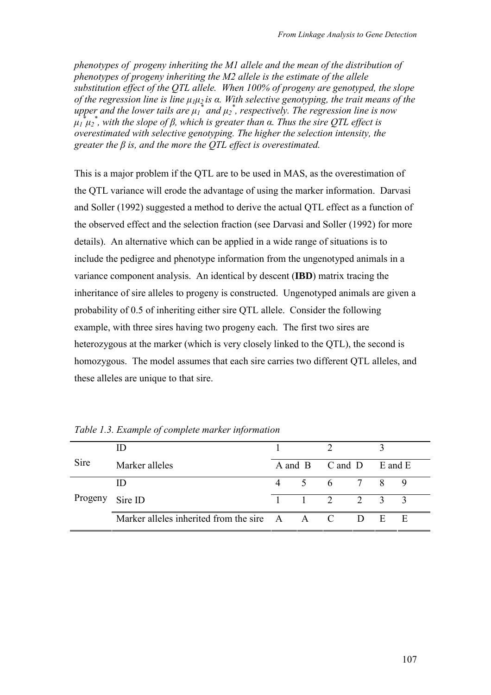*phenotypes of progeny inheriting the M1 allele and the mean of the distribution of phenotypes of progeny inheriting the M2 allele is the estimate of the allele substitution effect of the QTL allele. When 100% of progeny are genotyped, the slope of the regression line is line µ1µ2 is α. With selective genotyping, the trait means of the upper and the lower tails are*  $\mu_1^*$  *and*  $\mu_2^*$ *, respectively. The regression line is now µ1 \* µ2 \* , with the slope of β, which is greater than α. Thus the sire QTL effect is overestimated with selective genotyping. The higher the selection intensity, the greater the β is, and the more the QTL effect is overestimated.* 

This is a major problem if the QTL are to be used in MAS, as the overestimation of the QTL variance will erode the advantage of using the marker information. Darvasi and Soller (1992) suggested a method to derive the actual QTL effect as a function of the observed effect and the selection fraction (see Darvasi and Soller (1992) for more details). An alternative which can be applied in a wide range of situations is to include the pedigree and phenotype information from the ungenotyped animals in a variance component analysis. An identical by descent (**IBD**) matrix tracing the inheritance of sire alleles to progeny is constructed. Ungenotyped animals are given a probability of 0.5 of inheriting either sire QTL allele. Consider the following example, with three sires having two progeny each. The first two sires are heterozygous at the marker (which is very closely linked to the QTL), the second is homozygous. The model assumes that each sire carries two different QTL alleles, and these alleles are unique to that sire.

| Sire<br>Marker alleles |                                              |                |  | A and B C and D E and E     |  |               |   |
|------------------------|----------------------------------------------|----------------|--|-----------------------------|--|---------------|---|
|                        | Ш                                            |                |  | 5 6 7 8                     |  |               | 9 |
| Progeny                | Sire ID                                      | $\overline{1}$ |  | $1 \quad 2 \quad 2 \quad 3$ |  |               |   |
|                        | Marker alleles inherited from the sire A A C |                |  |                             |  | $D \t E \t E$ |   |

*Table 1.3. Example of complete marker information*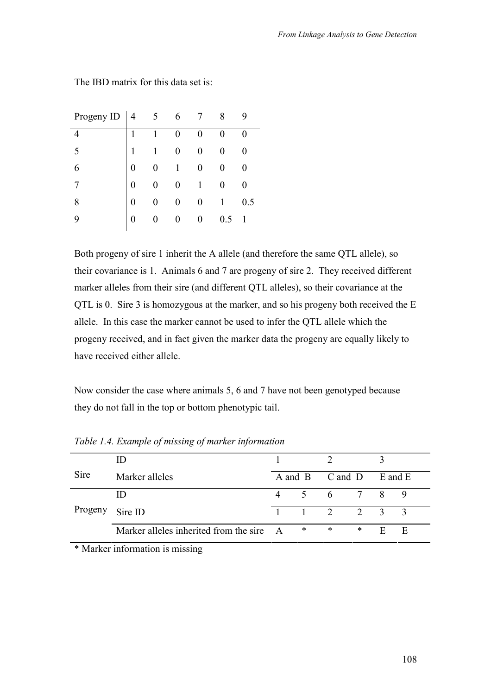| Progeny ID | $\overline{4}$ | 6 |                  | 8   |              |
|------------|----------------|---|------------------|-----|--------------|
|            | 1              | 0 |                  |     | 0            |
| 5          | 1              | 0 | $\overline{0}$   |     | 0            |
| 6          | 0              | 1 | $\boldsymbol{0}$ |     | 0            |
|            | 0              |   | $\mathbf{1}$     |     | 0            |
| 8          | 0              | 0 | 0                |     | 0.5          |
| 9          | 0              | 0 | 0                | 0.5 | $\mathbf{1}$ |
|            |                |   |                  |     |              |

The IBD matrix for this data set is:

Both progeny of sire 1 inherit the A allele (and therefore the same QTL allele), so their covariance is 1. Animals 6 and 7 are progeny of sire 2. They received different marker alleles from their sire (and different QTL alleles), so their covariance at the QTL is 0. Sire 3 is homozygous at the marker, and so his progeny both received the E allele. In this case the marker cannot be used to infer the QTL allele which the progeny received, and in fact given the marker data the progeny are equally likely to have received either allele.

Now consider the case where animals 5, 6 and 7 have not been genotyped because they do not fall in the top or bottom phenotypic tail.

| Marker alleles |   |                                          |        |     | E and E         |                                                 |
|----------------|---|------------------------------------------|--------|-----|-----------------|-------------------------------------------------|
| ID             | 4 |                                          |        |     | 8               | 9                                               |
| Sire ID        |   |                                          |        |     |                 |                                                 |
|                |   | $\ast$                                   | $\ast$ | ∗   | E               | E                                               |
|                |   | Marker alleles inherited from the sire A |        | 5 6 | A and B C and D | $7\overline{ }$<br>$1 \t 1 \t 2 \t 2 \t 3 \t 3$ |

*Table 1.4. Example of missing of marker information* 

\* Marker information is missing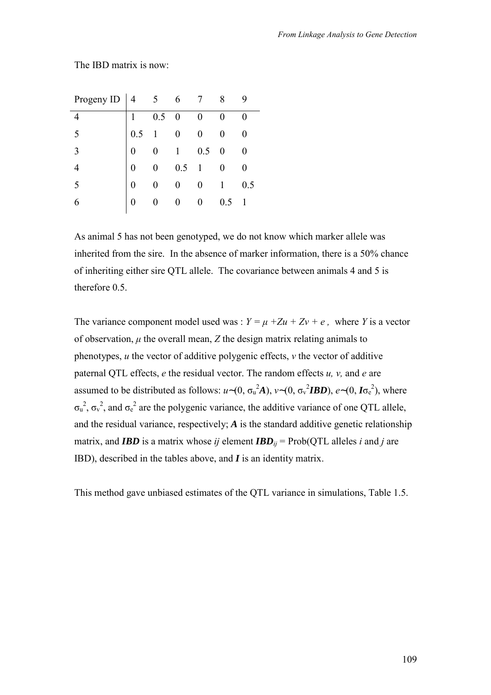| Progeny ID $\begin{vmatrix} 4 & 5 & 6 \end{vmatrix}$ |     |              |                  |                  | 8                |                  |
|------------------------------------------------------|-----|--------------|------------------|------------------|------------------|------------------|
| $\overline{4}$                                       |     | 0.5          | $\boldsymbol{0}$ | $\boldsymbol{0}$ |                  | 0                |
| 5                                                    | 0.5 | $\mathbf{1}$ | $\overline{0}$   | $\overline{0}$   |                  | $\boldsymbol{0}$ |
| 3                                                    |     | 0            | $\mathbf{1}$     | 0.5              | $\boldsymbol{0}$ | 0                |
| $\overline{4}$                                       |     |              | 0.5              | $\overline{1}$   |                  | $\pmb{0}$        |
| 5                                                    | 0   |              | 0                | $\boldsymbol{0}$ |                  | 0.5              |
| 6                                                    | 0   |              |                  |                  | 0.5              |                  |
|                                                      |     |              |                  |                  |                  |                  |

The IBD matrix is now:

As animal 5 has not been genotyped, we do not know which marker allele was inherited from the sire. In the absence of marker information, there is a 50% chance of inheriting either sire QTL allele. The covariance between animals 4 and 5 is therefore 0.5.

The variance component model used was :  $Y = \mu + Zu + Zv + e$ , where *Y* is a vector of observation,  $\mu$  the overall mean,  $Z$  the design matrix relating animals to phenotypes, *u* the vector of additive polygenic effects, *v* the vector of additive paternal QTL effects, *e* the residual vector. The random effects *u, v,* and *e* are assumed to be distributed as follows:  $u \sim (0, \sigma_u^2 A)$ ,  $v \sim (0, \sigma_v^2 IBD)$ ,  $e \sim (0, I\sigma_e^2)$ , where  $\sigma_u^2$ ,  $\sigma_v^2$ , and  $\sigma_e^2$  are the polygenic variance, the additive variance of one QTL allele, and the residual variance, respectively;  $A$  is the standard additive genetic relationship matrix, and *IBD* is a matrix whose *ij* element  $IBD_{ij} = \text{Prob}(\text{QTL} \text{ alleles } i \text{ and } j \text{ are})$ IBD), described in the tables above, and *I* is an identity matrix.

This method gave unbiased estimates of the QTL variance in simulations, Table 1.5.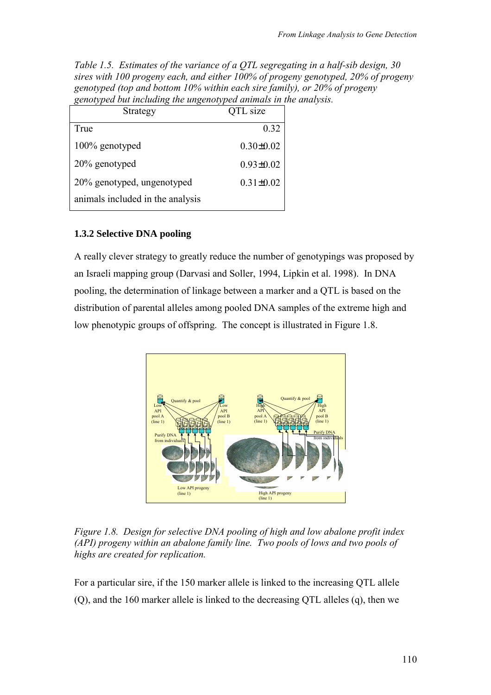<span id="page-17-0"></span>*Table 1.5. Estimates of the variance of a QTL segregating in a half-sib design, 30 sires with 100 progeny each, and either 100% of progeny genotyped, 20% of progeny genotyped (top and bottom 10% within each sire family), or 20% of progeny genotyped but including the ungenotyped animals in the analysis.* 

| Strategy                         | <b>QTL</b> size |
|----------------------------------|-----------------|
| True                             | 0.32            |
| 100% genotyped                   | $0.30 \pm 0.02$ |
| 20% genotyped                    | $0.93 \pm 0.02$ |
| 20% genotyped, ungenotyped       | $0.31 \pm 0.02$ |
| animals included in the analysis |                 |

### **1.3.2 Selective DNA pooling**

A really clever strategy to greatly reduce the number of genotypings was proposed by an Israeli mapping group (Darvasi and Soller, 1994, Lipkin et al. 1998). In DNA pooling, the determination of linkage between a marker and a QTL is based on the distribution of parental alleles among pooled DNA samples of the extreme high and low phenotypic groups of offspring. The concept is illustrated in Figure 1.8.



*Figure 1.8. Design for selective DNA pooling of high and low abalone profit index (API) progeny within an abalone family line. Two pools of lows and two pools of highs are created for replication.* 

For a particular sire, if the 150 marker allele is linked to the increasing QTL allele (Q), and the 160 marker allele is linked to the decreasing QTL alleles (q), then we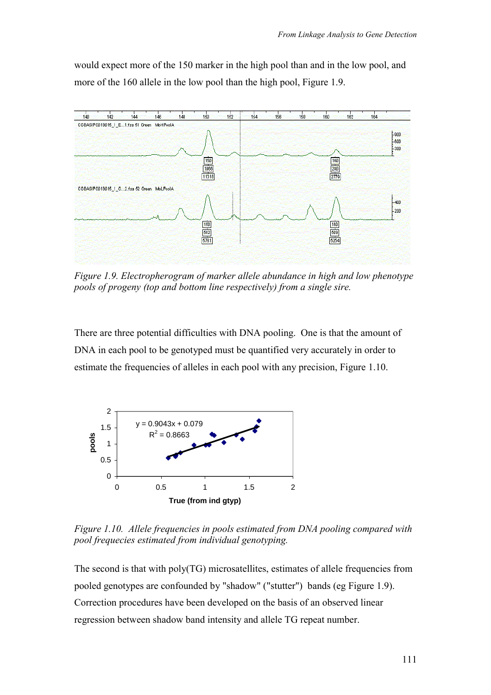would expect more of the 150 marker in the high pool than and in the low pool, and more of the 160 allele in the low pool than the high pool, Figure 1.9.



*Figure 1.9. Electropherogram of marker allele abundance in high and low phenotype pools of progeny (top and bottom line respectively) from a single sire.* 

There are three potential difficulties with DNA pooling. One is that the amount of DNA in each pool to be genotyped must be quantified very accurately in order to estimate the frequencies of alleles in each pool with any precision, Figure 1.10.



*Figure 1.10. Allele frequencies in pools estimated from DNA pooling compared with pool frequecies estimated from individual genotyping.* 

The second is that with poly(TG) microsatellites, estimates of allele frequencies from pooled genotypes are confounded by "shadow" ("stutter") bands (eg Figure 1.9). Correction procedures have been developed on the basis of an observed linear regression between shadow band intensity and allele TG repeat number.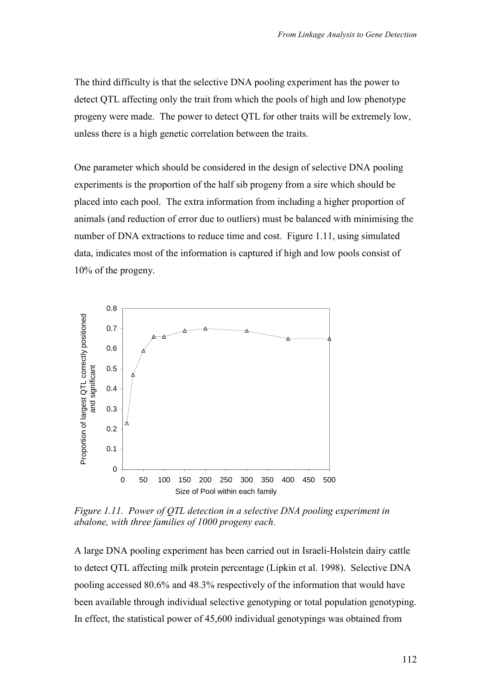The third difficulty is that the selective DNA pooling experiment has the power to detect QTL affecting only the trait from which the pools of high and low phenotype progeny were made. The power to detect QTL for other traits will be extremely low, unless there is a high genetic correlation between the traits.

One parameter which should be considered in the design of selective DNA pooling experiments is the proportion of the half sib progeny from a sire which should be placed into each pool. The extra information from including a higher proportion of animals (and reduction of error due to outliers) must be balanced with minimising the number of DNA extractions to reduce time and cost. Figure 1.11, using simulated data, indicates most of the information is captured if high and low pools consist of 10% of the progeny.



*Figure 1.11. Power of QTL detection in a selective DNA pooling experiment in abalone, with three families of 1000 progeny each.* 

A large DNA pooling experiment has been carried out in Israeli-Holstein dairy cattle to detect QTL affecting milk protein percentage (Lipkin et al. 1998). Selective DNA pooling accessed 80.6% and 48.3% respectively of the information that would have been available through individual selective genotyping or total population genotyping. In effect, the statistical power of 45,600 individual genotypings was obtained from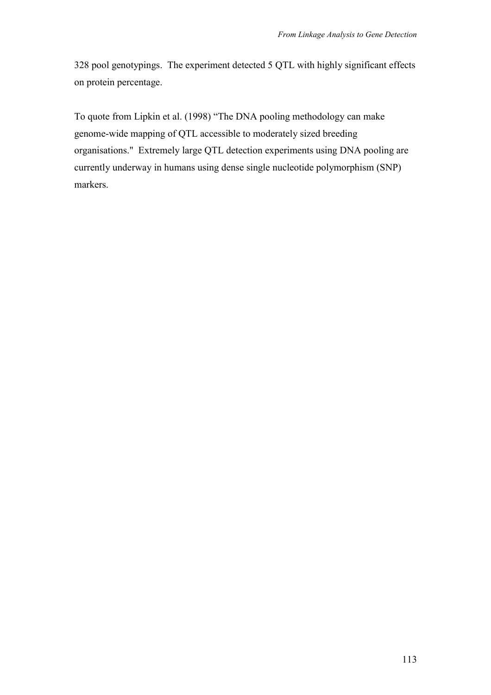328 pool genotypings. The experiment detected 5 QTL with highly significant effects on protein percentage.

To quote from Lipkin et al. (1998) "The DNA pooling methodology can make genome-wide mapping of QTL accessible to moderately sized breeding organisations." Extremely large QTL detection experiments using DNA pooling are currently underway in humans using dense single nucleotide polymorphism (SNP) markers.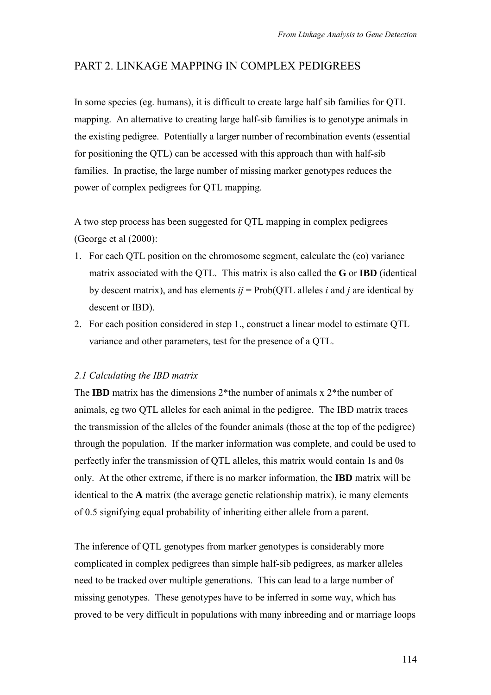## <span id="page-21-0"></span>PART 2. LINKAGE MAPPING IN COMPLEX PEDIGREES

In some species (eg. humans), it is difficult to create large half sib families for QTL mapping. An alternative to creating large half-sib families is to genotype animals in the existing pedigree. Potentially a larger number of recombination events (essential for positioning the QTL) can be accessed with this approach than with half-sib families. In practise, the large number of missing marker genotypes reduces the power of complex pedigrees for QTL mapping.

A two step process has been suggested for QTL mapping in complex pedigrees (George et al (2000):

- 1. For each QTL position on the chromosome segment, calculate the (co) variance matrix associated with the QTL. This matrix is also called the **G** or **IBD** (identical by descent matrix), and has elements  $ij = Prob(QTL$  alleles *i* and *j* are identical by descent or IBD).
- 2. For each position considered in step 1., construct a linear model to estimate QTL variance and other parameters, test for the presence of a QTL.

### *2.1 Calculating the IBD matrix*

The **IBD** matrix has the dimensions 2\*the number of animals x 2\*the number of animals, eg two QTL alleles for each animal in the pedigree. The IBD matrix traces the transmission of the alleles of the founder animals (those at the top of the pedigree) through the population. If the marker information was complete, and could be used to perfectly infer the transmission of QTL alleles, this matrix would contain 1s and 0s only. At the other extreme, if there is no marker information, the **IBD** matrix will be identical to the **A** matrix (the average genetic relationship matrix), ie many elements of 0.5 signifying equal probability of inheriting either allele from a parent.

The inference of QTL genotypes from marker genotypes is considerably more complicated in complex pedigrees than simple half-sib pedigrees, as marker alleles need to be tracked over multiple generations. This can lead to a large number of missing genotypes. These genotypes have to be inferred in some way, which has proved to be very difficult in populations with many inbreeding and or marriage loops